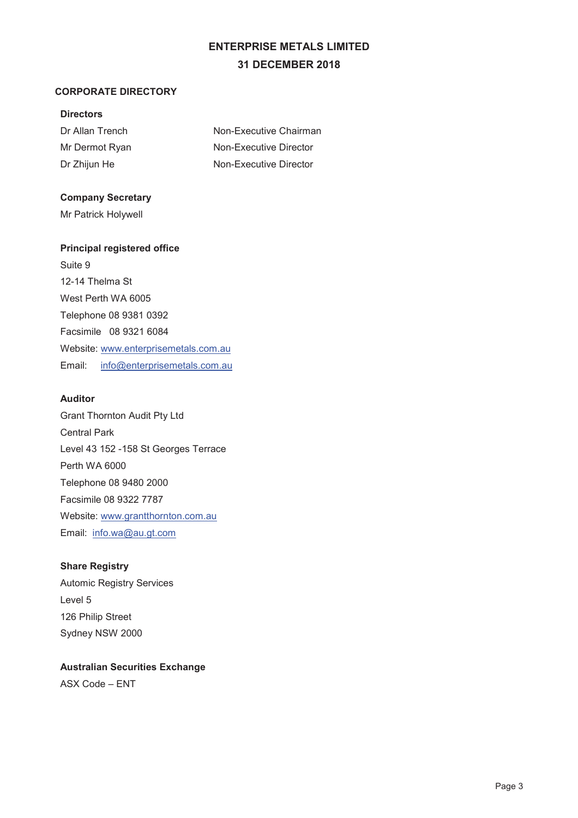# **ENTERPRISE METALS LIMITED 31 DECEMBER 2018**

## **CORPORATE DIRECTORY**

## **Directors**

| Dr Allan Trench | Non-Executive Chairman |
|-----------------|------------------------|
| Mr Dermot Ryan  | Non-Executive Director |
| Dr Zhijun He    | Non-Executive Director |

## **Company Secretary**

Mr Patrick Holywell

## **Principal registered office**

Suite 9 12-14 Thelma St West Perth WA 6005 Telephone 08 9381 0392 Facsimile 08 9321 6084 Website: www.enterprisemetals.com.au Email: info@enterprisemetals.com.au

## **Auditor**

Grant Thornton Audit Pty Ltd Central Park Level 43 152 -158 St Georges Terrace Perth WA 6000 Telephone 08 9480 2000 Facsimile 08 9322 7787 Website: www.grantthornton.com.au Email: info.wa@au.gt.com

## **Share Registry**

Automic Registry Services Level 5 126 Philip Street Sydney NSW 2000

## **Australian Securities Exchange**  ASX Code – ENT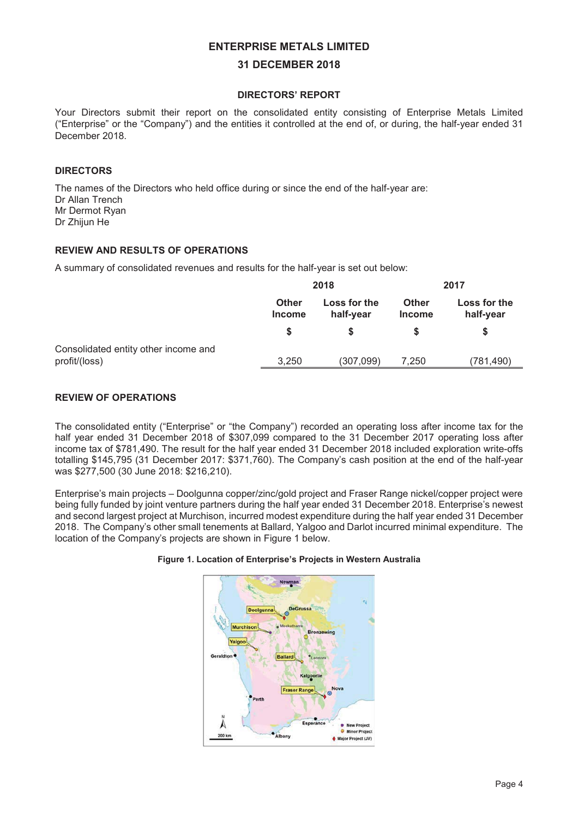#### **31 DECEMBER 2018**

#### **DIRECTORS' REPORT**

Your Directors submit their report on the consolidated entity consisting of Enterprise Metals Limited ("Enterprise" or the "Company") and the entities it controlled at the end of, or during, the half-year ended 31 December 2018.

#### **DIRECTORS**

The names of the Directors who held office during or since the end of the half-year are: Dr Allan Trench Mr Dermot Ryan Dr Zhijun He

## **REVIEW AND RESULTS OF OPERATIONS**

A summary of consolidated revenues and results for the half-year is set out below:

|                                                       |                               | 2018                      |                        | 2017                      |
|-------------------------------------------------------|-------------------------------|---------------------------|------------------------|---------------------------|
|                                                       | <b>Other</b><br><b>Income</b> | Loss for the<br>half-year | Other<br><b>Income</b> | Loss for the<br>half-year |
|                                                       |                               |                           |                        |                           |
| Consolidated entity other income and<br>profit/(loss) | 3.250                         | (307,099)                 | 7.250                  | (781,490)                 |

#### **REVIEW OF OPERATIONS**

The consolidated entity ("Enterprise" or "the Company") recorded an operating loss after income tax for the half year ended 31 December 2018 of \$307,099 compared to the 31 December 2017 operating loss after income tax of \$781,490. The result for the half year ended 31 December 2018 included exploration write-offs totalling \$145,795 (31 December 2017: \$371,760). The Company's cash position at the end of the half-year was \$277,500 (30 June 2018: \$216,210).

Enterprise's main projects – Doolgunna copper/zinc/gold project and Fraser Range nickel/copper project were being fully funded by joint venture partners during the half year ended 31 December 2018. Enterprise's newest and second largest project at Murchison, incurred modest expenditure during the half year ended 31 December 2018. The Company's other small tenements at Ballard, Yalgoo and Darlot incurred minimal expenditure. The location of the Company's projects are shown in Figure 1 below.

#### **Figure 1. Location of Enterprise's Projects in Western Australia**

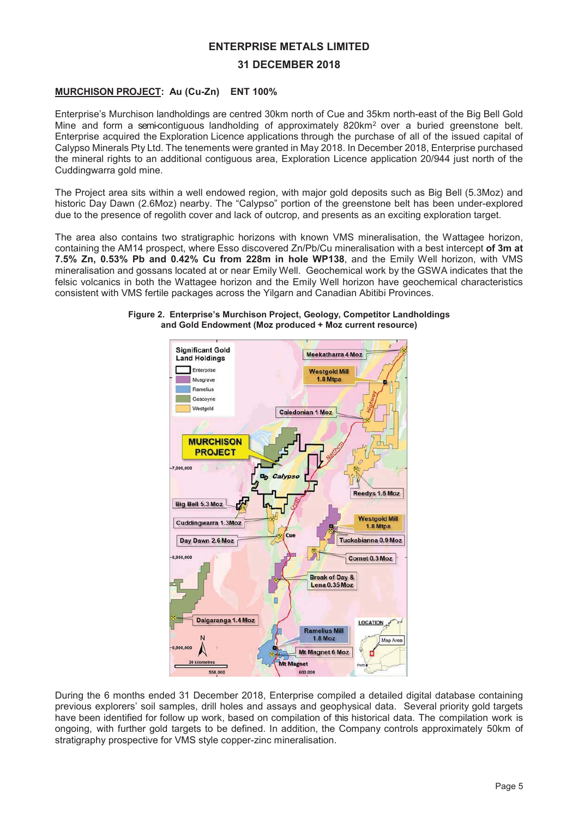#### **31 DECEMBER 2018**

## **MURCHISON PROJECT: Au (Cu-Zn) ENT 100%**

Enterprise's Murchison landholdings are centred 30km north of Cue and 35km north-east of the Big Bell Gold Mine and form a semi-contiguous landholding of approximately 820km<sup>2</sup> over a buried greenstone belt. Enterprise acquired the Exploration Licence applications through the purchase of all of the issued capital of Calypso Minerals Pty Ltd. The tenements were granted in May 2018. In December 2018, Enterprise purchased the mineral rights to an additional contiguous area, Exploration Licence application 20/944 just north of the Cuddingwarra gold mine.

The Project area sits within a well endowed region, with major gold deposits such as Big Bell (5.3Moz) and historic Day Dawn (2.6Moz) nearby. The "Calypso" portion of the greenstone belt has been under-explored due to the presence of regolith cover and lack of outcrop, and presents as an exciting exploration target.

The area also contains two stratigraphic horizons with known VMS mineralisation, the Wattagee horizon, containing the AM14 prospect, where Esso discovered Zn/Pb/Cu mineralisation with a best intercept **of 3m at 7.5% Zn, 0.53% Pb and 0.42% Cu from 228m in hole WP138**, and the Emily Well horizon, with VMS mineralisation and gossans located at or near Emily Well. Geochemical work by the GSWA indicates that the felsic volcanics in both the Wattagee horizon and the Emily Well horizon have geochemical characteristics consistent with VMS fertile packages across the Yilgarn and Canadian Abitibi Provinces.



#### **Figure 2. Enterprise's Murchison Project, Geology, Competitor Landholdings and Gold Endowment (Moz produced + Moz current resource)**

During the 6 months ended 31 December 2018, Enterprise compiled a detailed digital database containing previous explorers' soil samples, drill holes and assays and geophysical data. Several priority gold targets have been identified for follow up work, based on compilation of this historical data. The compilation work is ongoing, with further gold targets to be defined. In addition, the Company controls approximately 50km of stratigraphy prospective for VMS style copper-zinc mineralisation.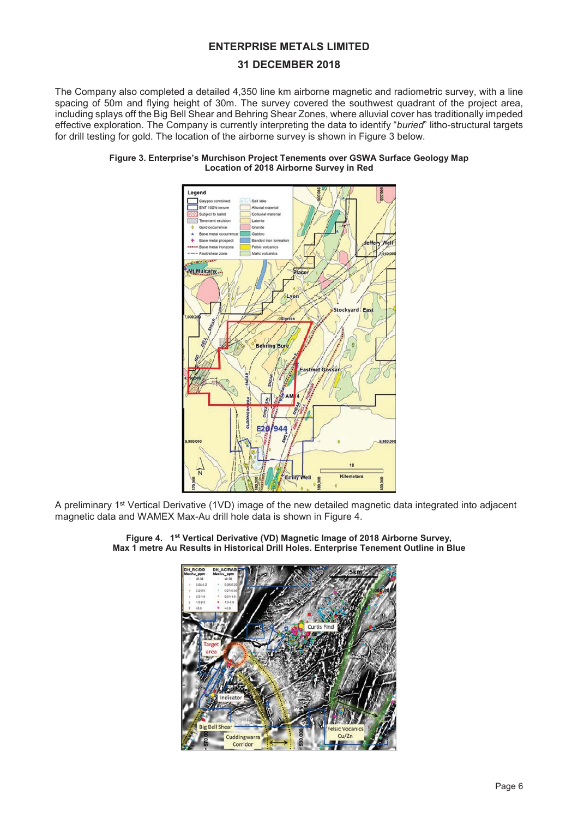## **31 DECEMBER 2018**

The Company also completed a detailed 4,350 line km airborne magnetic and radiometric survey, with a line spacing of 50m and flying height of 30m. The survey covered the southwest quadrant of the project area, including splays off the Big Bell Shear and Behring Shear Zones, where alluvial cover has traditionally impeded effective exploration. The Company is currently interpreting the data to identify "*buried*" litho-structural targets for drill testing for gold. The location of the airborne survey is shown in Figure 3 below.





A preliminary 1st Vertical Derivative (1VD) image of the new detailed magnetic data integrated into adjacent magnetic data and WAMEX Max-Au drill hole data is shown in Figure 4.



**Figure 4. 1st Vertical Derivative (VD) Magnetic Image of 2018 Airborne Survey, Max 1 metre Au Results in Historical Drill Holes. Enterprise Tenement Outline in Blue**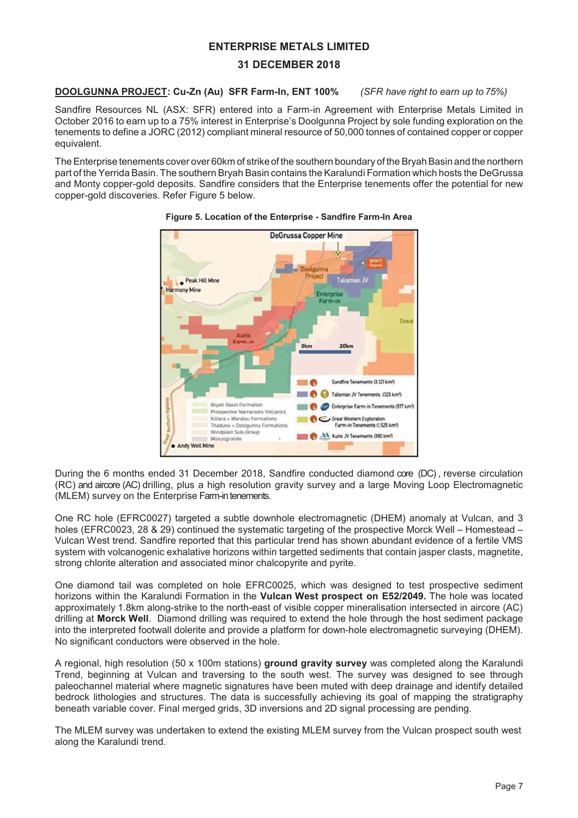## **31 DECEMBER 2018**

## **DOOLGUNNA PROJECT: Cu-Zn (Au) SFR Farm-In, ENT 100%** *(SFR have right to earn up to 75%)*

Sandfire Resources NL (ASX: SFR) entered into a Farm-in Agreement with Enterprise Metals Limited in October 2016 to earn up to a 75% interest in Enterprise's Doolgunna Project by sole funding exploration on the tenements to define a JORC (2012) compliant mineral resource of 50,000 tonnes of contained copper or copper equivalent.

The Enterprise tenements cover over 60km of strike of the southern boundary of the Bryah Basin and the northern part of the Yerrida Basin. The southern Bryah Basin contains the Karalundi Formation which hosts the DeGrussa and Monty copper-gold deposits. Sandfire considers that the Enterprise tenements offer the potential for new copper-gold discoveries. Refer Figure 5 below.



#### **Figure 5. Location of the Enterprise - Sandfire Farm-In Area**

During the 6 months ended 31 December 2018, Sandfire conducted diamond core (DC), reverse circulation (RC) and aircore (AC) drilling, plus a high resolution gravity survey and a large Moving Loop Electromagnetic (MLEM) survey on the Enterprise Farm-in tenements.

One RC hole (EFRC0027) targeted a subtle downhole electromagnetic (DHEM) anomaly at Vulcan, and 3 holes (EFRC0023, 28 & 29) continued the systematic targeting of the prospective Morck Well – Homestead – Vulcan West trend. Sandfire reported that this particular trend has shown abundant evidence of a fertile VMS system with volcanogenic exhalative horizons within targetted sediments that contain jasper clasts, magnetite, strong chlorite alteration and associated minor chalcopyrite and pyrite.

One diamond tail was completed on hole EFRC0025, which was designed to test prospective sediment horizons within the Karalundi Formation in the **Vulcan West prospect on E52/2049.** The hole was located approximately 1.8km along-strike to the north-east of visible copper mineralisation intersected in aircore (AC) drilling at **Morck Well**. Diamond drilling was required to extend the hole through the host sediment package into the interpreted footwall dolerite and provide a platform for down-hole electromagnetic surveying (DHEM). No significant conductors were observed in the hole.

A regional, high resolution (50 x 100m stations) **ground gravity survey** was completed along the Karalundi Trend, beginning at Vulcan and traversing to the south west. The survey was designed to see through paleochannel material where magnetic signatures have been muted with deep drainage and identify detailed bedrock lithologies and structures. The data is successfully achieving its goal of mapping the stratigraphy beneath variable cover. Final merged grids, 3D inversions and 2D signal processing are pending.

The MLEM survey was undertaken to extend the existing MLEM survey from the Vulcan prospect south west along the Karalundi trend.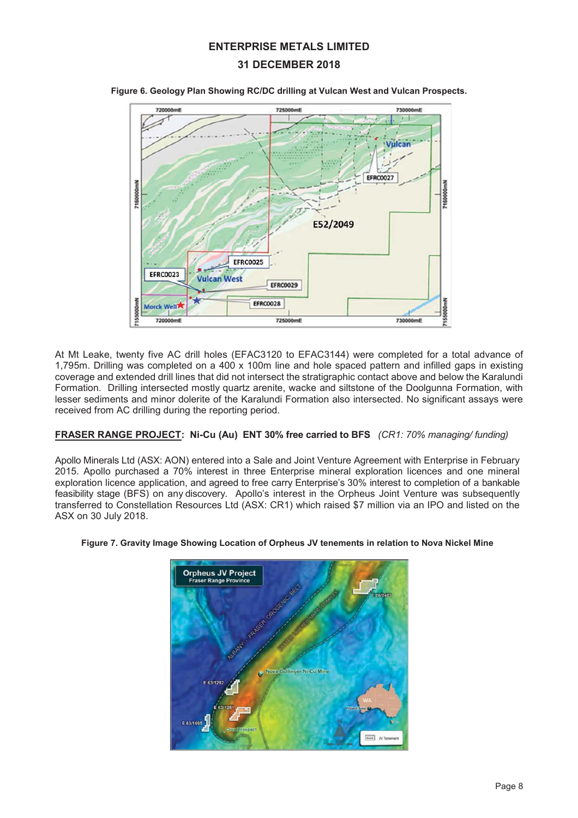## **31 DECEMBER 2018**



**Figure 6. Geology Plan Showing RC/DC drilling at Vulcan West and Vulcan Prospects.**

At Mt Leake, twenty five AC drill holes (EFAC3120 to EFAC3144) were completed for a total advance of 1,795m. Drilling was completed on a 400 x 100m line and hole spaced pattern and infilled gaps in existing coverage and extended drill lines that did not intersect the stratigraphic contact above and below the Karalundi Formation. Drilling intersected mostly quartz arenite, wacke and siltstone of the Doolgunna Formation, with lesser sediments and minor dolerite of the Karalundi Formation also intersected. No significant assays were received from AC drilling during the reporting period.

#### **FRASER RANGE PROJECT: Ni-Cu (Au) ENT 30% free carried to BFS** *(CR1: 70% managing/ funding)*

Apollo Minerals Ltd (ASX: AON) entered into a Sale and Joint Venture Agreement with Enterprise in February 2015. Apollo purchased a 70% interest in three Enterprise mineral exploration licences and one mineral exploration licence application, and agreed to free carry Enterprise's 30% interest to completion of a bankable feasibility stage (BFS) on any discovery. Apollo's interest in the Orpheus Joint Venture was subsequently transferred to Constellation Resources Ltd (ASX: CR1) which raised \$7 million via an IPO and listed on the ASX on 30 July 2018.



#### **Figure 7. Gravity Image Showing Location of Orpheus JV tenements in relation to Nova Nickel Mine**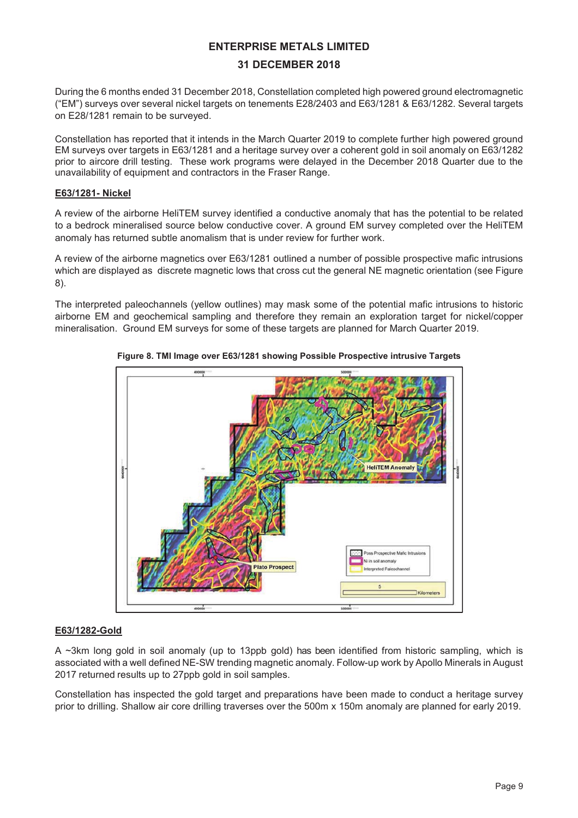## **31 DECEMBER 2018**

During the 6 months ended 31 December 2018, Constellation completed high powered ground electromagnetic ("EM") surveys over several nickel targets on tenements E28/2403 and E63/1281 & E63/1282. Several targets on E28/1281 remain to be surveyed.

Constellation has reported that it intends in the March Quarter 2019 to complete further high powered ground EM surveys over targets in E63/1281 and a heritage survey over a coherent gold in soil anomaly on E63/1282 prior to aircore drill testing. These work programs were delayed in the December 2018 Quarter due to the unavailability of equipment and contractors in the Fraser Range.

#### **E63/1281- Nickel**

A review of the airborne HeliTEM survey identified a conductive anomaly that has the potential to be related to a bedrock mineralised source below conductive cover. A ground EM survey completed over the HeliTEM anomaly has returned subtle anomalism that is under review for further work.

A review of the airborne magnetics over E63/1281 outlined a number of possible prospective mafic intrusions which are displayed as discrete magnetic lows that cross cut the general NE magnetic orientation (see Figure 8).

The interpreted paleochannels (yellow outlines) may mask some of the potential mafic intrusions to historic airborne EM and geochemical sampling and therefore they remain an exploration target for nickel/copper mineralisation. Ground EM surveys for some of these targets are planned for March Quarter 2019.



**Figure 8. TMI Image over E63/1281 showing Possible Prospective intrusive Targets** 

## **E63/1282-Gold**

A ~3km long gold in soil anomaly (up to 13ppb gold) has been identified from historic sampling, which is associated with a well defined NE-SW trending magnetic anomaly. Follow-up work by Apollo Minerals in August 2017 returned results up to 27ppb gold in soil samples.

Constellation has inspected the gold target and preparations have been made to conduct a heritage survey prior to drilling. Shallow air core drilling traverses over the 500m x 150m anomaly are planned for early 2019.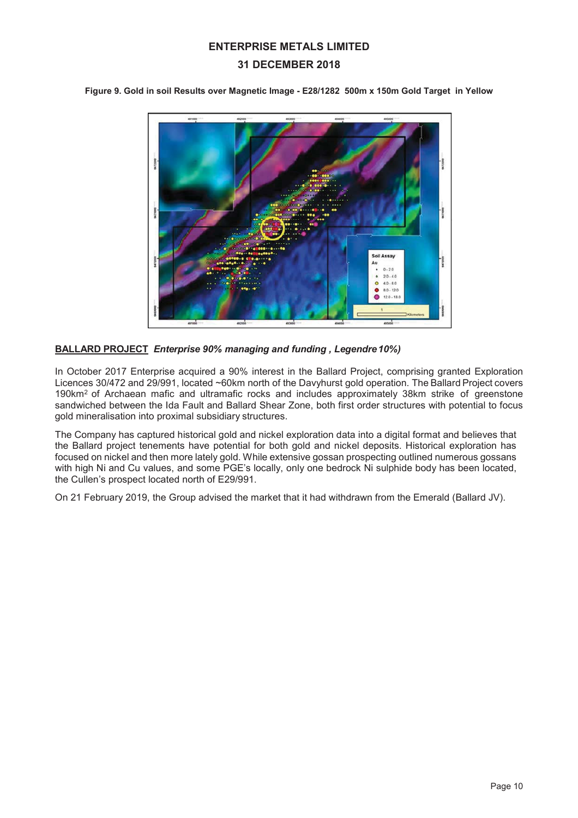## **31 DECEMBER 2018**

**Figure 9. Gold in soil Results over Magnetic Image - E28/1282 500m x 150m Gold Target in Yellow** 



#### **BALLARD PROJECT** *Enterprise 90% managing and funding , Legendre 10%)*

In October 2017 Enterprise acquired a 90% interest in the Ballard Project, comprising granted Exploration Licences 30/472 and 29/991, located ~60km north of the Davyhurst gold operation. The Ballard Project covers 190km2 of Archaean mafic and ultramafic rocks and includes approximately 38km strike of greenstone sandwiched between the Ida Fault and Ballard Shear Zone, both first order structures with potential to focus gold mineralisation into proximal subsidiary structures.

The Company has captured historical gold and nickel exploration data into a digital format and believes that the Ballard project tenements have potential for both gold and nickel deposits. Historical exploration has focused on nickel and then more lately gold. While extensive gossan prospecting outlined numerous gossans with high Ni and Cu values, and some PGE's locally, only one bedrock Ni sulphide body has been located, the Cullen's prospect located north of E29/991.

On 21 February 2019, the Group advised the market that it had withdrawn from the Emerald (Ballard JV).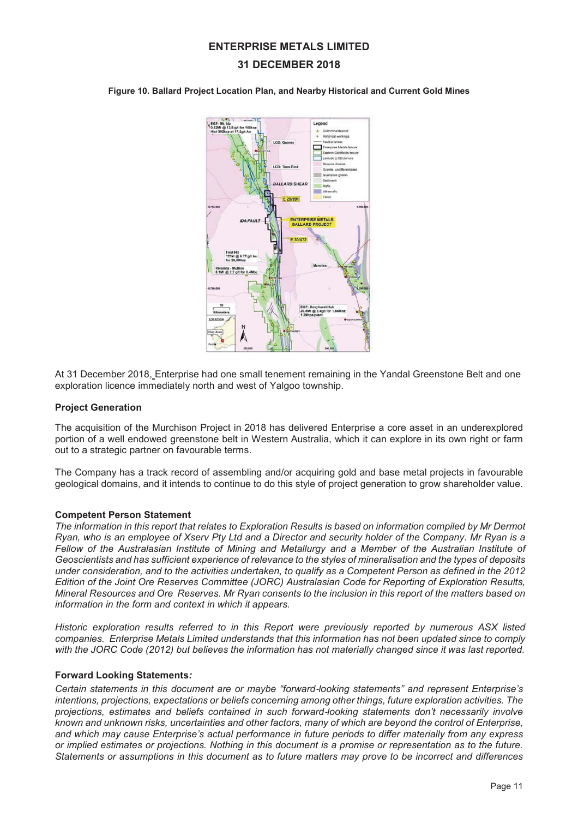## **31 DECEMBER 2018**

**Figure 10. Ballard Project Location Plan, and Nearby Historical and Current Gold Mines** 



At 31 December 2018, Enterprise had one small tenement remaining in the Yandal Greenstone Belt and one exploration licence immediately north and west of Yalgoo township.

#### **Project Generation**

The acquisition of the Murchison Project in 2018 has delivered Enterprise a core asset in an underexplored portion of a well endowed greenstone belt in Western Australia, which it can explore in its own right or farm out to a strategic partner on favourable terms.

The Company has a track record of assembling and/or acquiring gold and base metal projects in favourable geological domains, and it intends to continue to do this style of project generation to grow shareholder value.

#### **Competent Person Statement**

*The information in this report that relates to Exploration Results is based on information compiled by Mr Dermot Ryan, who is an employee of Xserv Pty Ltd and a Director and security holder of the Company. Mr Ryan is a Fellow of the Australasian Institute of Mining and Metallurgy and a Member of the Australian Institute of Geoscientists and has sufficient experience of relevance to the styles of mineralisation and the types of deposits under consideration, and to the activities undertaken, to qualify as a Competent Person as defined in the 2012 Edition of the Joint Ore Reserves Committee (JORC) Australasian Code for Reporting of Exploration Results, Mineral Resources and Ore Reserves. Mr Ryan consents to the inclusion in this report of the matters based on information in the form and context in which it appears.* 

*Historic exploration results referred to in this Report were previously reported by numerous ASX listed companies. Enterprise Metals Limited understands that this information has not been updated since to comply*  with the JORC Code (2012) but believes the information has not materially changed since it was last reported.

#### **Forward Looking Statements***:*

*Certain statements in this document are or maybe "forward*Ǧ*looking statements" and represent Enterprise's intentions, projections, expectations or beliefs concerning among other things, future exploration activities. The projections, estimates and beliefs contained in such forward*Ǧ*looking statements don't necessarily involve known and unknown risks, uncertainties and other factors, many of which are beyond the control of Enterprise, and which may cause Enterprise's actual performance in future periods to differ materially from any express or implied estimates or projections. Nothing in this document is a promise or representation as to the future. Statements or assumptions in this document as to future matters may prove to be incorrect and differences*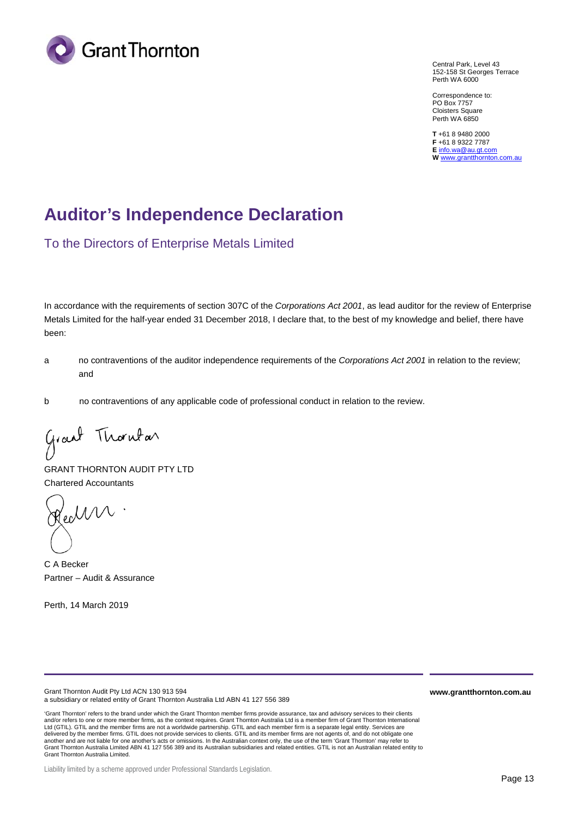

Central Park, Level 43 152-158 St Georges Terrace Perth WA 6000

Correspondence to: PO Box 7757 Cloisters Square Perth WA 6850

**T** +61 8 9480 2000 **F** +61 8 9322 7787 **E** info.wa@au.gt.com **W** www.grantthornton.com.au

# **Auditor's Independence Declaration**

To the Directors of Enterprise Metals Limited

In accordance with the requirements of section 307C of the *Corporations Act 2001*, as lead auditor for the review of Enterprise Metals Limited for the half-year ended 31 December 2018, I declare that, to the best of my knowledge and belief, there have been:

- a no contraventions of the auditor independence requirements of the *Corporations Act 2001* in relation to the review; and
- b no contraventions of any applicable code of professional conduct in relation to the review.

Grant Thornton

GRANT THORNTON AUDIT PTY LTD Chartered Accountants

Cechn

C A Becker Partner – Audit & Assurance

Perth, 14 March 2019

Grant Thornton Audit Pty Ltd ACN 130 913 594 a subsidiary or related entity of Grant Thornton Australia Ltd ABN 41 127 556 389

'Grant Thornton' refers to the brand under which the Grant Thornton member firms provide assurance, tax and advisory services to their clients and/or refers to one or more member firms, as the context requires. Grant Thornton Australia Ltd is a member firm of Grant Thornton International Ltd (GTIL). GTIL and the member firms are not a worldwide partnership. GTIL and each member firm is a separate legal entity. Services are delivered by the member firms. GTIL does not provide services to clients. GTIL and its member firms are not agents of, and do not obligate one another and are not liable for one another's acts or omissions. In the Australian context only, the use of the term 'Grant Thornton' may refer to<br>Grant Thornton Australia Limited ABN 41 127 556 389 and its Australian subsi Grant Thornton Australia Limited.

Liability limited by a scheme approved under Professional Standards Legislation.

**www.grantthornton.com.au**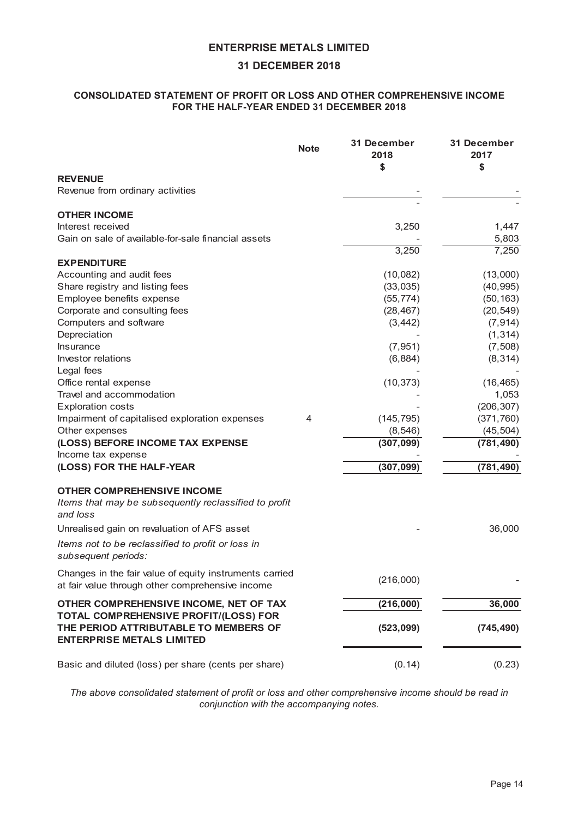## 8162/, \$7(67\$7(0(172)352),725/266\$127(58035( $($ 16,9(,180( )257(6)(\$5(1)(@[5)

|                                                                                                                              | 1RWH | <b>HFHPEHU</b>         | <b>HFHPEHU</b>          |
|------------------------------------------------------------------------------------------------------------------------------|------|------------------------|-------------------------|
| 5(9(18)<br>Revenue from ordinary activities                                                                                  |      |                        |                         |
|                                                                                                                              |      |                        |                         |
| 27(6,120)<br>Interest received<br>Gain on sale of available-for-sale financial assets                                        |      | 3,250                  | 1,447<br>5,803          |
|                                                                                                                              |      | 3,250                  | 7,250                   |
| (.3(1,785))<br>Accounting and audit fees<br>Share registry and listing fees                                                  |      | (10,082)<br>(33,035)   | (13,000)<br>(40, 995)   |
| Employee benefits expense                                                                                                    |      | (55, 774)              | (50, 163)               |
| Corporate and consulting fees                                                                                                |      | (28, 467)              | (20, 549)               |
| Computers and software<br>Depreciation                                                                                       |      | (3, 442)               | (7, 914)<br>(1, 314)    |
| Insurance                                                                                                                    |      | (7, 951)               | (7, 508)                |
| Investor relations<br>Legal fees                                                                                             |      | (6,884)                | (8, 314)                |
| Office rental expense                                                                                                        |      | (10, 373)              | (16, 465)               |
| Travel and accommodation                                                                                                     |      |                        | 1,053                   |
| <b>Exploration costs</b>                                                                                                     |      |                        | (206, 307)              |
| Impairment of capitalised exploration expenses<br>Other expenses                                                             | 4    | (145, 795)<br>(8, 546) | (371, 760)<br>(45, 504) |
| /266025(,180(7\$;(;3(16)<br>Income tax expense<br>/266)257(%)/\$5                                                            |      |                        |                         |
| 27(62035((46,9), 120)<br>Items that may be subsequently reclassified to profit<br>and loss                                   |      |                        |                         |
| Unrealised gain on revaluation of AFS asset                                                                                  |      |                        | 36,000                  |
| Items not to be reclassified to profit or loss in<br>subsequent periods:                                                     |      |                        |                         |
| Changes in the fair value of equity instruments carried<br>at fair value through other comprehensive income                  |      | (216,000)              |                         |
| 27(52035((46,9), 120(1(72)7\$;<br>727\$/2035(#6,9(352),7/266)25<br>7(6(5,2\$775,87\$)(720(0(562)<br>(17(535,6(0(7\$/6/,0,7(' |      |                        |                         |
| Basic and diluted (loss) per share (cents per share)                                                                         |      | (0.14)                 | (0.23)                  |

*The above consolidated statement of profit or loss and other comprehensive income should be read in conjunction with the accompanying notes.*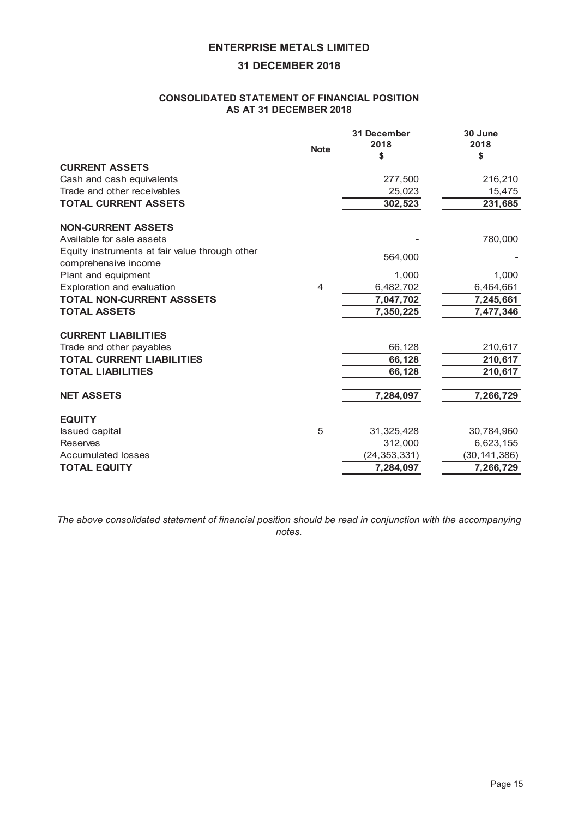## 8162/, \$7(67\$7(0(172)), 1\$1&/326, 7, 21 \$6\$7`(@0%)

|                                                                        |      | <b>HFHPEHU</b> | $-XQ$          |
|------------------------------------------------------------------------|------|----------------|----------------|
|                                                                        | 1RWH |                |                |
| 855(17\$66(76)                                                         |      |                |                |
| Cash and cash equivalents                                              |      | 277,500        | 216,210        |
| Trade and other receivables                                            |      | 25,023         | 15,475         |
| 727\$/855(17\$66(76                                                    |      |                |                |
| 121855(17\$66(76                                                       |      |                |                |
| Available for sale assets                                              |      |                | 780,000        |
| Equity instruments at fair value through other<br>comprehensive income |      | 564,000        |                |
| Plant and equipment                                                    |      | 1,000          | 1,000          |
| Exploration and evaluation                                             | 4    | 6,482,702      | 6,464,661      |
| 727\$/121855(17\$666(76                                                |      |                |                |
| 727\$/\$66(76                                                          |      |                |                |
| $855(17/0, 15\%7)$                                                     |      |                |                |
| Trade and other payables                                               |      | 66,128         | 210,617        |
| 727\$/855(17/, \$,%7, (6                                               |      |                |                |
| 727\$//, \$,%7, (6                                                     |      |                |                |
| 1(7\$66(76                                                             |      |                |                |
| (48, 7<                                                                |      |                |                |
| <b>Issued capital</b>                                                  | 5    | 31,325,428     | 30,784,960     |
| <b>Reserves</b>                                                        |      | 312,000        | 6,623,155      |
| <b>Accumulated losses</b>                                              |      | (24, 353, 331) | (30, 141, 386) |
| 727\$/(48,7<                                                           |      |                |                |

*The above consolidated statement of financial position should be read in conjunction with the accompanying notes.*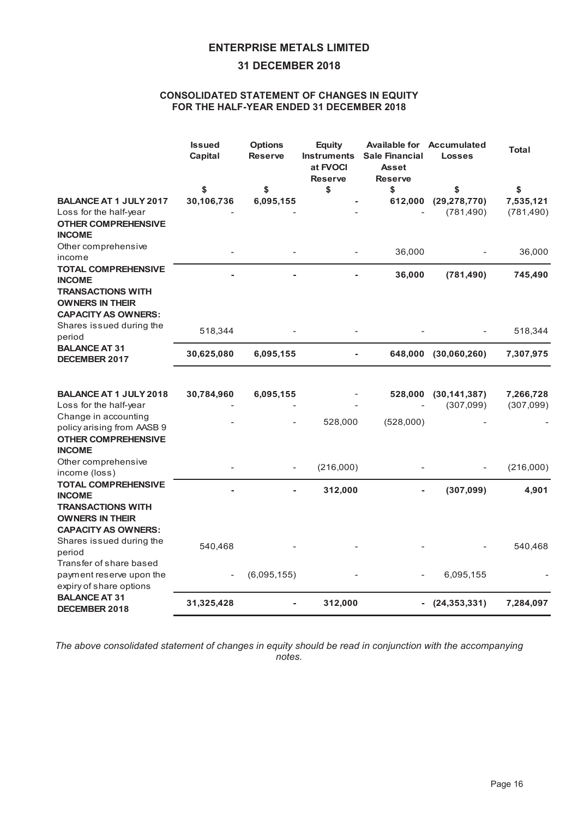## $&162/$ , \$7(67\$7(0(172) $&1(6,1(48,7<$ )257(\$/)(\$5(1)(@[%

|                                                                                                                                                                                                          | ,VVXHG<br><b>BSLWDO</b>             | 2SWLRQ<br>5HVHUM | <b>(TXLVV)</b><br>DW)92&<br>5HVHUM | <b>\$MLODEOHIRGFFXPXODWHG</b><br>, QWUXPHQVV6DOH)LDGLDO<br>\$VVHW<br>5HVHUM | /RVVHV     | 7RWDO      |
|----------------------------------------------------------------------------------------------------------------------------------------------------------------------------------------------------------|-------------------------------------|------------------|------------------------------------|-----------------------------------------------------------------------------|------------|------------|
| $$4$1$$ $$7 - 8$ /<<br>Loss for the half-year<br>27(52035(46,9)<br>,120(                                                                                                                                 |                                     |                  |                                    |                                                                             | (781, 490) | (781, 490) |
| Other comprehensive<br>income<br>727\$/2035(#6,9(<br>,120(<br>75\$16\$8,216:,7+<br>2:1(56,17(5)                                                                                                          |                                     |                  |                                    | 36,000                                                                      |            | 36,000     |
| \$3\$\$62:1(56<br>Shares issued during the<br>period<br>\$/\$1(\$7<br>(60%)                                                                                                                              | 518,344                             |                  |                                    |                                                                             |            | 518,344    |
| $$4$1$$ $$7 - 8$ /<<br>Loss for the half-year<br>Change in accounting<br>policy arising from AASB 9<br>27(52035(46,9)                                                                                    |                                     |                  | 528,000                            | (528,000)                                                                   | (307,099)  | (307,099)  |
| ,120(<br>Other comprehensive<br>income (loss)                                                                                                                                                            |                                     |                  | (216,000)                          |                                                                             |            | (216,000)  |
| 727\$/2035(#6,9(<br>,120(<br>75\$16\$8216.7+<br>2:1(56, 17(15)<br>\$3\$\$62:1(56<br>Shares issued during the<br>period<br>Transfer of share based<br>payment reserve upon the<br>expiry of share options | 540,468<br>$\overline{\phantom{a}}$ | (6,095,155)      |                                    |                                                                             | 6,095,155  | 540,468    |
| \$/\$1(\$7<br><b>(60 PS</b>                                                                                                                                                                              |                                     |                  |                                    |                                                                             |            |            |

*The above consolidated statement of changes in equity should be read in conjunction with the accompanying notes.*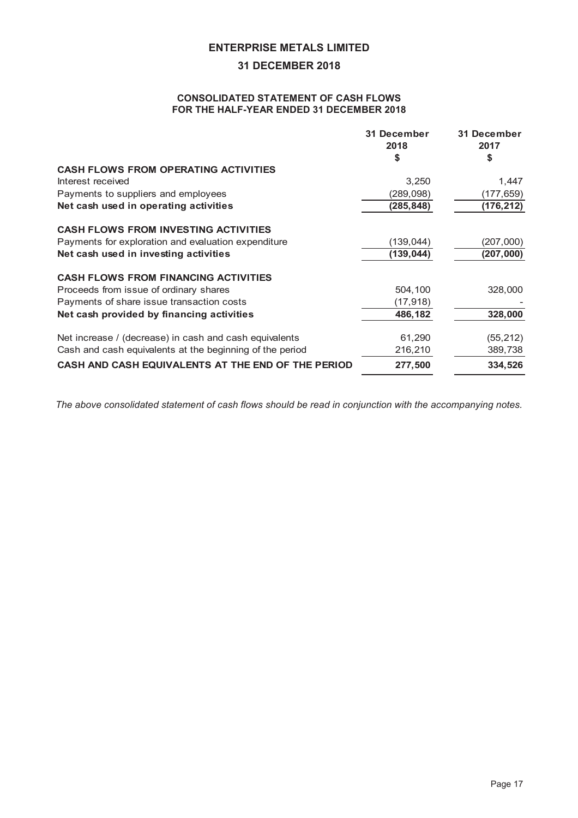## $&162/$ , \$7(67\$7(0(172) $&6#2:6$ 10257(\$/)(\$5(1)

| <b>HFHPEHU</b>       | <b>HFHPEHU</b>       |  |
|----------------------|----------------------|--|
| 3,250<br>(289,098)   | 1,447<br>(177, 659)  |  |
| (139, 044)           | (207,000)            |  |
| 504,100<br>(17, 918) | 328,000              |  |
| 61,290<br>216,210    | (55, 212)<br>389,738 |  |
|                      |                      |  |

*The above consolidated statement of cash flows should be read in conjunction with the accompanying notes.*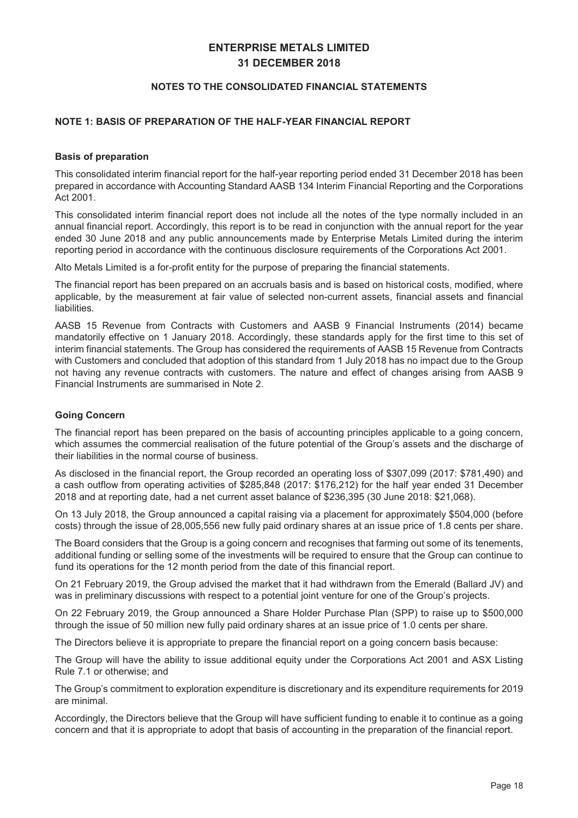#### 127(6727+ $(8162/$ , \$7(),1\$1&, 67\$7(0(176

#### 127(\$6,62)35(3\$5\$7,212)7(\$/)(\$5),1\$1&/5(3257

#### *B***WLVRISUHSDUDWLRO**

This consolidated interim financial report for the half-year reporting period ended 31 December 2018 has been prepared in accordance with Accounting Standard AASB 134 Interim Financial Reporting and the Corporations Act 2001.

This consolidated interim financial report does not include all the notes of the type normally included in an annual financial report. Accordingly, this report is to be read in conjunction with the annual report for the year ended 30 June 2018 and any public announcements made by Enterprise Metals Limited during the interim reporting period in accordance with the continuous disclosure requirements of the Corporations Act 2001.

Alto Metals Limited is a for-profit entity for the purpose of preparing the financial statements.

The financial report has been prepared on an accruals basis and is based on historical costs, modified, where applicable, by the measurement at fair value of selected non-current assets, financial assets and financial liabilities.

AASB 15 Revenue from Contracts with Customers and AASB 9 Financial Instruments (2014) became mandatorily effective on 1 January 2018. Accordingly, these standards apply for the first time to this set of interim financial statements. The Group has considered the requirements of AASB 15 Revenue from Contracts with Customers and concluded that adoption of this standard from 1 July 2018 has no impact due to the Group not having any revenue contracts with customers. The nature and effect of changes arising from AASB 9 Financial Instruments are summarised in Note 2.

#### $R$ L $QR$  $PH$ L $O$

The financial report has been prepared on the basis of accounting principles applicable to a going concern, which assumes the commercial realisation of the future potential of the Group's assets and the discharge of their liabilities in the normal course of business.

As disclosed in the financial report, the Group recorded an operating loss of \$307,099 (2017: \$781,490) and a cash outflow from operating activities of \$285,848 (2017: \$176,212) for the half year ended 31 December 2018 and at reporting date, had a net current asset balance of \$236,395 (30 June 2018: \$21,068).

On 13 July 2018, the Group announced a capital raising via a placement for approximately \$504,000 (before costs) through the issue of 28,005,556 new fully paid ordinary shares at an issue price of 1.8 cents per share.

The Board considers that the Group is a going concern and recognises that farming out some of its tenements, additional funding or selling some of the investments will be required to ensure that the Group can continue to fund its operations for the 12 month period from the date of this financial report.

On 21 February 2019, the Group advised the market that it had withdrawn from the Emerald (Ballard JV) and was in preliminary discussions with respect to a potential joint venture for one of the Group's projects.

On 22 February 2019, the Group announced a Share Holder Purchase Plan (SPP) to raise up to \$500,000 through the issue of 50 million new fully paid ordinary shares at an issue price of 1.0 cents per share.

The Directors believe it is appropriate to prepare the financial report on a going concern basis because:

The Group will have the ability to issue additional equity under the Corporations Act 2001 and ASX Listing Rule 7.1 or otherwise; and

The Group's commitment to exploration expenditure is discretionary and its expenditure requirements for 2019 are minimal.

Accordingly, the Directors believe that the Group will have sufficient funding to enable it to continue as a going concern and that it is appropriate to adopt that basis of accounting in the preparation of the financial report.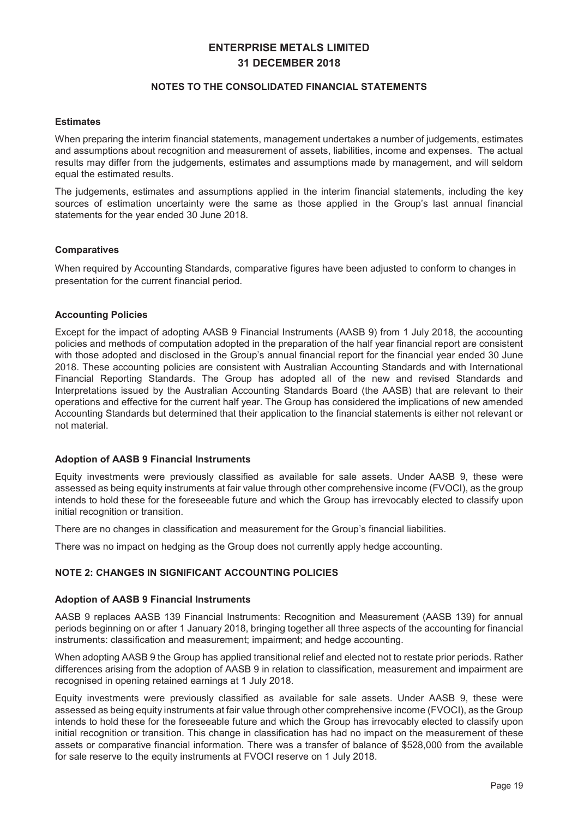#### 127(6727+ $($ 8162/, \$7(), 1\$1&, 67\$7(0(176

#### (VWLPDWHV

When preparing the interim financial statements, management undertakes a number of judgements, estimates and assumptions about recognition and measurement of assets, liabilities, income and expenses. The actual results may differ from the judgements, estimates and assumptions made by management, and will seldom equal the estimated results.

The judgements, estimates and assumptions applied in the interim financial statements, including the key sources of estimation uncertainty were the same as those applied in the Group's last annual financial statements for the year ended 30 June 2018.

#### **RPSDUDWLMV**

When required by Accounting Standards, comparative figures have been adjusted to conform to changes in presentation for the current financial period.

#### \$FFRX**@L**@BROLFLHV

Except for the impact of adopting AASB 9 Financial Instruments (AASB 9) from 1 July 2018, the accounting policies and methods of computation adopted in the preparation of the half year financial report are consistent with those adopted and disclosed in the Group's annual financial report for the financial year ended 30 June 2018. These accounting policies are consistent with Australian Accounting Standards and with International Financial Reporting Standards. The Group has adopted all of the new and revised Standards and Interpretations issued by the Australian Accounting Standards Board (the AASB) that are relevant to their operations and effective for the current half year. The Group has considered the implications of new amended Accounting Standards but determined that their application to the financial statements is either not relevant or not material.

#### \$GRSWLRQN\$\$6%DQLDO,QWUXPHQWV

Equity investments were previously classified as available for sale assets. Under AASB 9, these were assessed as being equity instruments at fair value through other comprehensive income (FVOCI), as the group intends to hold these for the foreseeable future and which the Group has irrevocably elected to classify upon initial recognition or transition.

There are no changes in classification and measurement for the Group's financial liabilities.

There was no impact on hedging as the Group does not currently apply hedge accounting.

## 127( $$16,16,1,1817$ \$2817,132/,86

#### \$GRSWLRQI\$\$6%QQLDO,QWUXPHQVV

AASB 9 replaces AASB 139 Financial Instruments: Recognition and Measurement (AASB 139) for annual periods beginning on or after 1 January 2018, bringing together all three aspects of the accounting for financial instruments: classification and measurement; impairment; and hedge accounting.

When adopting AASB 9 the Group has applied transitional relief and elected not to restate prior periods. Rather differences arising from the adoption of AASB 9 in relation to classification, measurement and impairment are recognised in opening retained earnings at 1 July 2018.

Equity investments were previously classified as available for sale assets. Under AASB 9, these were assessed as being equity instruments at fair value through other comprehensive income (FVOCI), as the Group intends to hold these for the foreseeable future and which the Group has irrevocably elected to classify upon initial recognition or transition. This change in classification has had no impact on the measurement of these assets or comparative financial information. There was a transfer of balance of \$528,000 from the available for sale reserve to the equity instruments at FVOCI reserve on 1 July 2018.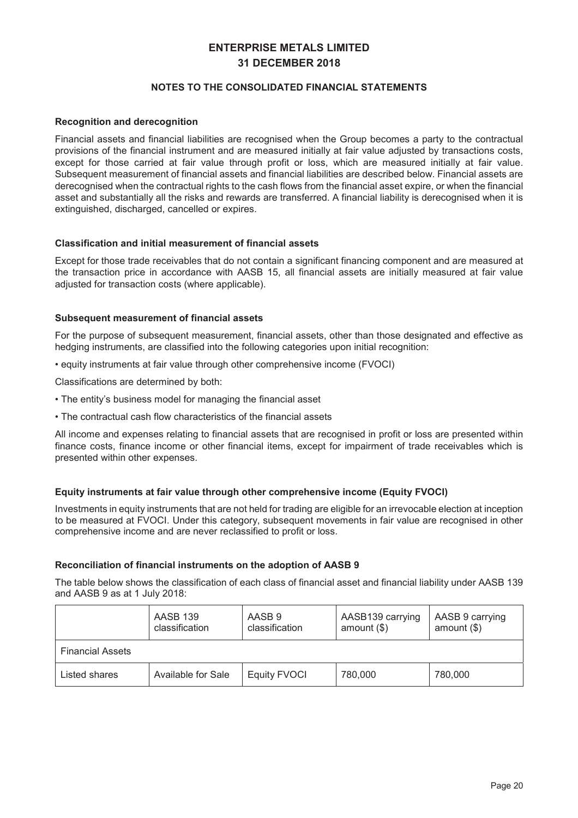## 127(6727+ $($ 8162/, \$7(),1\$1&, 67\$7(0(176

## 5HFRJQWLRQQGHUHFRJQWLRQ

Financial assets and financial liabilities are recognised when the Group becomes a party to the contractual provisions of the financial instrument and are measured initially at fair value adjusted by transactions costs, except for those carried at fair value through profit or loss, which are measured initially at fair value. Subsequent measurement of financial assets and financial liabilities are described below. Financial assets are derecognised when the contractual rights to the cash flows from the financial asset expire, or when the financial asset and substantially all the risks and rewards are transferred. A financial liability is derecognised when it is extinguished, discharged, cancelled or expires.

#### &ODVVLILFDWLRQDQGLQLWLDOPHDVXUHPHQWRIILQDQFLDODVVHWV

Except for those trade receivables that do not contain a significant financing component and are measured at the transaction price in accordance with AASB 15, all financial assets are initially measured at fair value adjusted for transaction costs (where applicable).

#### 6XEVHTXHWPHDVXUHPHWRIII DEI DODVVHWV

For the purpose of subsequent measurement, financial assets, other than those designated and effective as hedging instruments, are classified into the following categories upon initial recognition:

• equity instruments at fair value through other comprehensive income (FVOCI)

Classifications are determined by both:

- The entity's business model for managing the financial asset
- The contractual cash flow characteristics of the financial assets

All income and expenses relating to financial assets that are recognised in profit or loss are presented within finance costs, finance income or other financial items, except for impairment of trade receivables which is presented within other expenses.

## (TXLWLQWUXPHQVDWIDLUYOXHWKRXJRWKUFRPSUHKQLMLQRPH(TXLW)92&

Investments in equity instruments that are not held for trading are eligible for an irrevocable election at inception to be measured at FVOCI. Under this category, subsequent movements in fair value are recognised in other comprehensive income and are never reclassified to profit or loss.

#### 5HFRELOLDWLRRIILDELDOL@WUXPHQVVRQVKDGRSWLRRI\$\$6%

The table below shows the classification of each class of financial asset and financial liability under AASB 139 and AASB 9 as at 1 July 2018:

|                         | <b>AASB 139</b><br>classification | AASB 9<br>classification | AASB139 carrying<br>amount $(\$)$ | AASB 9 carrying<br>amount $(\$)$ |
|-------------------------|-----------------------------------|--------------------------|-----------------------------------|----------------------------------|
| <b>Financial Assets</b> |                                   |                          |                                   |                                  |
| Listed shares           | Available for Sale                | Equity FVOCI             | 780,000                           | 780,000                          |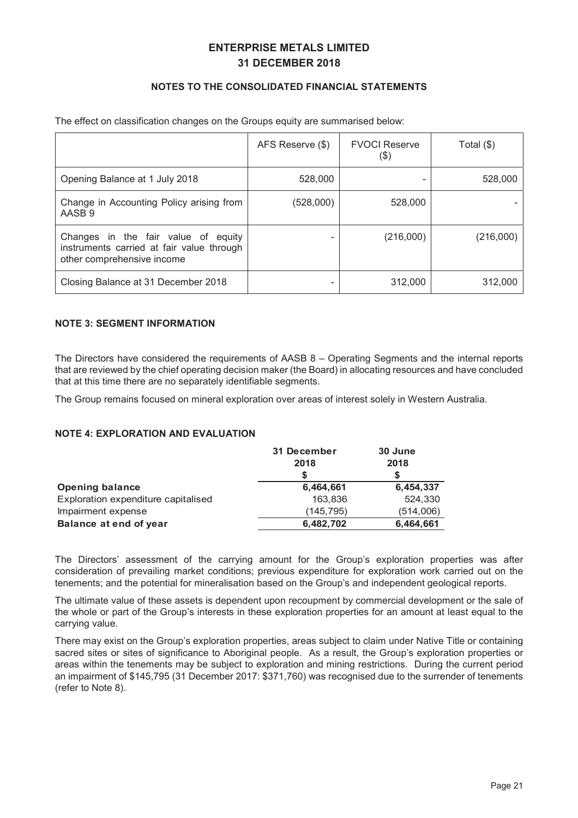## 127(6727 $\left(\frac{1}{2}\right)$ (),1\$1&,/67\$7(0(176

|                                                                                                                | AFS Reserve (\$) | <b>FVOCI Reserve</b><br>(\$) | Total $(\$)$ |
|----------------------------------------------------------------------------------------------------------------|------------------|------------------------------|--------------|
| Opening Balance at 1 July 2018                                                                                 | 528,000          |                              | 528,000      |
| Change in Accounting Policy arising from<br>AASB 9                                                             | (528,000)        | 528,000                      |              |
| Changes in the fair value of equity<br>instruments carried at fair value through<br>other comprehensive income |                  | (216,000)                    | (216,000)    |
| Closing Balance at 31 December 2018                                                                            |                  | 312,000                      | 312,000      |

#### The effect on classification changes on the Groups equity are summarised below:

#### 127(6(0(17,1)250\$7,21

The Directors have considered the requirements of AASB 8 – Operating Segments and the internal reports that are reviewed by the chief operating decision maker (the Board) in allocating resources and have concluded that at this time there are no separately identifiable segments.

The Group remains focused on mineral exploration over areas of interest solely in Western Australia.

127((;3/25\$7,21\$1'(9\$/8\$7,21

|                                     | <b>HFHPEHU</b> | -XA       |
|-------------------------------------|----------------|-----------|
| 2SHD OD BH                          |                |           |
| Exploration expenditure capitalised | 163,836        | 524,330   |
| Impairment expense                  | (145, 795)     | (514,006) |
| <b>BODEHDWHQRIHDU</b>               |                |           |

The Directors' assessment of the carrying amount for the Group's exploration properties was after consideration of prevailing market conditions; previous expenditure for exploration work carried out on the tenements; and the potential for mineralisation based on the Group's and independent geological reports.

The ultimate value of these assets is dependent upon recoupment by commercial development or the sale of the whole or part of the Group's interests in these exploration properties for an amount at least equal to the carrying value.

There may exist on the Group's exploration properties, areas subject to claim under Native Title or containing sacred sites or sites of significance to Aboriginal people. As a result, the Group's exploration properties or areas within the tenements may be subject to exploration and mining restrictions. During the current period an impairment of \$145,795 (31 December 2017: \$371,760) was recognised due to the surrender of tenements (refer to Note 8).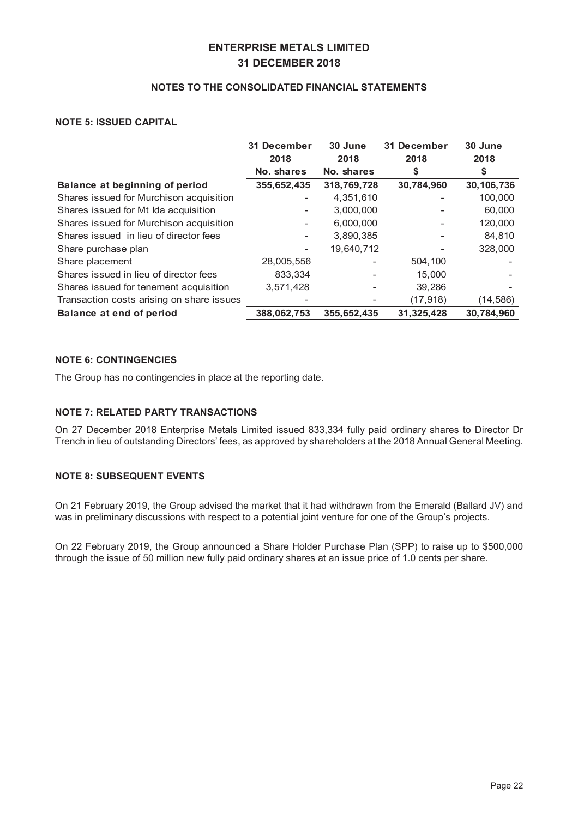#### 127(6727 $\left(\frac{18162}{,57}\right)$ ,1\$1&%/67\$7(0(176

#### 127(,668(\$3,7\$/

|                                           | <b>HFHPEHU</b>           | <b>HFHPEHU</b><br>$-X\Theta$ | -XQ       |           |
|-------------------------------------------|--------------------------|------------------------------|-----------|-----------|
|                                           |                          |                              |           |           |
|                                           | <b>1RVBUHV</b>           | <b>1RVBUHV</b>               |           |           |
| <b>BODEHDWEHJLDORISHULRG</b>              |                          |                              |           |           |
| Shares issued for Murchison acquisition   |                          | 4,351,610                    |           | 100,000   |
| Shares issued for Mt Ida acquisition      | $\overline{\phantom{a}}$ | 3,000,000                    |           | 60,000    |
| Shares issued for Murchison acquisition   | $\overline{\phantom{a}}$ | 6,000,000                    |           | 120,000   |
| Shares issued in lieu of director fees    | $\overline{\phantom{a}}$ | 3,890,385                    |           | 84,810    |
| Share purchase plan                       | $\overline{\phantom{a}}$ | 19,640,712                   |           | 328,000   |
| Share placement                           | 28,005,556               |                              | 504,100   |           |
| Shares issued in lieu of director fees    | 833,334                  |                              | 15,000    |           |
| Shares issued for tenement acquisition    | 3,571,428                |                              | 39,286    |           |
| Transaction costs arising on share issues |                          |                              | (17, 918) | (14, 586) |
| <b>BODEHDWHQRISHULRG</b>                  |                          |                              |           |           |

## 127( $817,1$ <sup>t</sup> $1%$

The Group has no contingencies in place at the reporting date.

#### 127(5(/\$7(3\$5775\$16\$&216)

On 27 December 2018 Enterprise Metals Limited issued 833,334 fully paid ordinary shares to Director Dr Trench in lieu of outstanding Directors' fees, as approved by shareholders at the 2018 Annual General Meeting.

## 127(686)(48(17(9(176)

On 21 February 2019, the Group advised the market that it had withdrawn from the Emerald (Ballard JV) and was in preliminary discussions with respect to a potential joint venture for one of the Group's projects.

On 22 February 2019, the Group announced a Share Holder Purchase Plan (SPP) to raise up to \$500,000 through the issue of 50 million new fully paid ordinary shares at an issue price of 1.0 cents per share.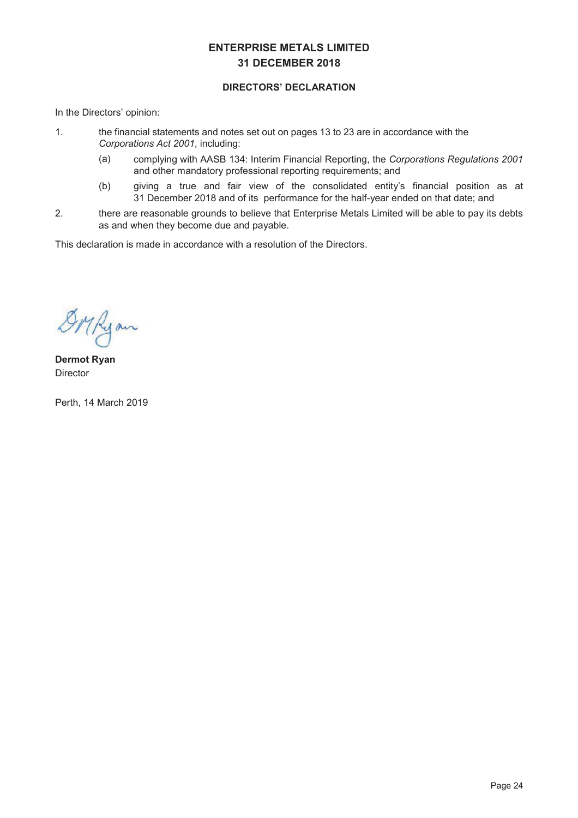## ',5(%256\`\\\$5\$7,21

In the Directors' opinion:

- 1. the financial statements and notes set out on pages 13 to 23 are in accordance with the *Corporations Act 2001*, including:
	- (a) complying with AASB 134: Interim Financial Reporting, the *Corporations Regulations 2001* and other mandatory professional reporting requirements; and
	- (b) giving a true and fair view of the consolidated entity's financial position as at 31 December 2018 and of its performance for the half-year ended on that date; and
- 2. there are reasonable grounds to believe that Enterprise Metals Limited will be able to pay its debts as and when they become due and payable.

This declaration is made in accordance with a resolution of the Directors.

DMRyan

'HUPRW5\DQ **Director** 

Perth, 14 March 2019